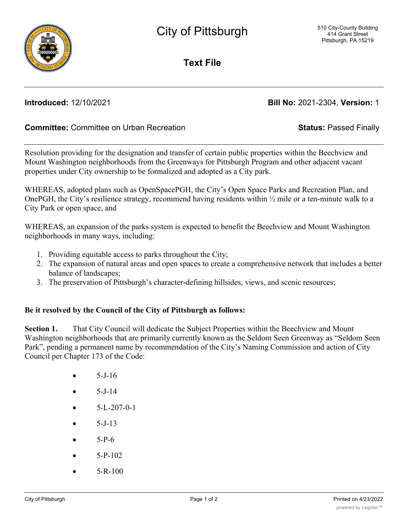

**Text File**

# **Introduced:** 12/10/2021 **Bill No:** 2021-2304, **Version:** 1

## **Committee:** Committee on Urban Recreation **Status:** Passed Finally

Resolution providing for the designation and transfer of certain public properties within the Beechview and Mount Washington neighborhoods from the Greenways for Pittsburgh Program and other adjacent vacant properties under City ownership to be formalized and adopted as a City park.

WHEREAS, adopted plans such as OpenSpacePGH, the City's Open Space Parks and Recreation Plan, and OnePGH, the City's resilience strategy, recommend having residents within ½ mile or a ten-minute walk to a City Park or open space, and

WHEREAS, an expansion of the parks system is expected to benefit the Beechview and Mount Washington neighborhoods in many ways, including:

- 1. Providing equitable access to parks throughout the City;
- 2. The expansion of natural areas and open spaces to create a comprehensive network that includes a better balance of landscapes;
- 3. The preservation of Pittsburgh's character-defining hillsides, views, and scenic resources;

### **Be it resolved by the Council of the City of Pittsburgh as follows:**

**Section 1.** That City Council will dedicate the Subject Properties within the Beechview and Mount Washington neighborhoods that are primarily currently known as the Seldom Seen Greenway as "Seldom Seen Park", pending a permanent name by recommendation of the City's Naming Commission and action of City Council per Chapter 173 of the Code:

- $5 J 16$
- $5 I 14$
- $5-L-207-0-1$
- $5 J 13$
- $5-P-6$
- · 5-P-102
- $5 R 100$